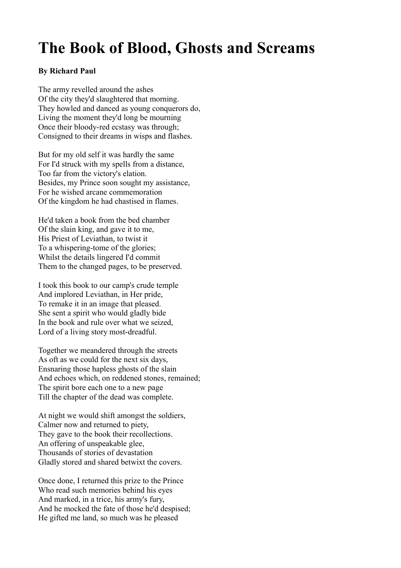## **The Book of Blood, Ghosts and Screams**

## **By Richard Paul**

The army revelled around the ashes Of the city they'd slaughtered that morning. They howled and danced as young conquerors do, Living the moment they'd long be mourning Once their bloody-red ecstasy was through; Consigned to their dreams in wisps and flashes.

But for my old self it was hardly the same For I'd struck with my spells from a distance, Too far from the victory's elation. Besides, my Prince soon sought my assistance, For he wished arcane commemoration Of the kingdom he had chastised in flames.

He'd taken a book from the bed chamber Of the slain king, and gave it to me, His Priest of Leviathan, to twist it To a whispering-tome of the glories; Whilst the details lingered I'd commit Them to the changed pages, to be preserved.

I took this book to our camp's crude temple And implored Leviathan, in Her pride, To remake it in an image that pleased. She sent a spirit who would gladly bide In the book and rule over what we seized, Lord of a living story most-dreadful.

Together we meandered through the streets As oft as we could for the next six days, Ensnaring those hapless ghosts of the slain And echoes which, on reddened stones, remained; The spirit bore each one to a new page Till the chapter of the dead was complete.

At night we would shift amongst the soldiers, Calmer now and returned to piety, They gave to the book their recollections. An offering of unspeakable glee, Thousands of stories of devastation Gladly stored and shared betwixt the covers.

Once done, I returned this prize to the Prince Who read such memories behind his eyes And marked, in a trice, his army's fury, And he mocked the fate of those he'd despised; He gifted me land, so much was he pleased